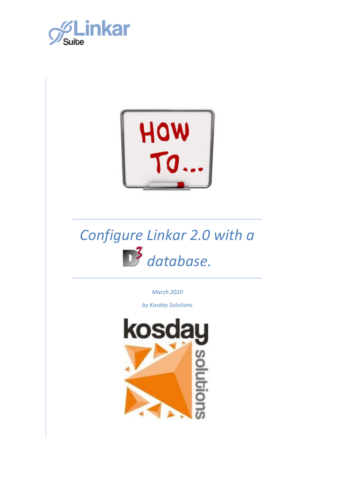



# *Configure Linkar 2.0 with a database.*

*March 2020*

*by Kosday Solutions*

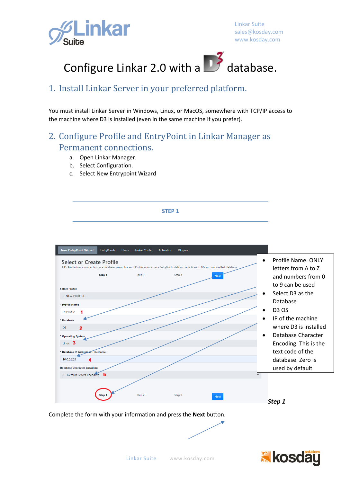



### 1. Install Linkar Server in your preferred platform.

You must install Linkar Server in Windows, Linux, or MacOS, somewhere with TCP/IP access to the machine where D3 is installed (even in the same machine if you prefer).

## 2. Configure Profile and EntryPoint in Linkar Manager as Permanent connections.

- a. Open Linkar Manager.
- b. Select Configuration.
- c. Select New Entrypoint Wizard

#### **STEP 1**



Complete the form with your information and press the **Next** button.

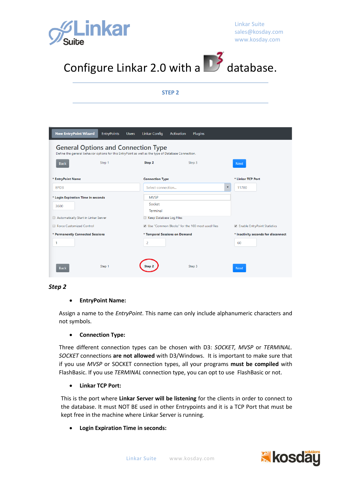



**STEP 2**

| <b>New EntryPoint Wizard</b><br><b>EntryPoints</b> | <b>Linkar Config</b><br><b>Users</b>                                                                | <b>Plugins</b><br><b>Activation</b>             |                                     |
|----------------------------------------------------|-----------------------------------------------------------------------------------------------------|-------------------------------------------------|-------------------------------------|
| <b>General Options and Connection Type</b>         | Define the general behavior options for this EntryPoint as well as the type of Database Connection. |                                                 |                                     |
| Step 1<br><b>Back</b>                              | Step 2                                                                                              | Step 3                                          | <b>Next</b>                         |
| * EntryPoint Name                                  | <b>Connection Type</b>                                                                              |                                                 | * Linkar TCP Port                   |
| FPD3                                               | Select connection                                                                                   | $\overline{\mathbf{v}}$                         | 11700                               |
| * Login Expiration Time in seconds                 | <b>MVSP</b>                                                                                         |                                                 |                                     |
| 3600                                               | Socket                                                                                              |                                                 |                                     |
|                                                    | <b>Terminal</b>                                                                                     |                                                 |                                     |
| Automatically Start in Linkar Server               | Keep Database Log Files<br>$\Box$                                                                   |                                                 |                                     |
| Force Customized Control                           |                                                                                                     | Use "Common Blocks" for the 100 most used files | <b>Enable EntryPoint Statistics</b> |
| * Permanently Connected Sessions                   | * Temporal Sessions on Demand                                                                       |                                                 | * Inactivity seconds for disconnect |
| 1                                                  | 2                                                                                                   |                                                 | 60                                  |
|                                                    |                                                                                                     |                                                 |                                     |
|                                                    |                                                                                                     |                                                 |                                     |
| Step 1<br><b>Back</b>                              | Sten                                                                                                | Step 3                                          | <b>Next</b>                         |

#### *Step 2*

#### • **EntryPoint Name:**

Assign a name to the *EntryPoint*. This name can only include alphanumeric characters and not symbols.

#### • **Connection Type:**

Three different connection types can be chosen with D3: *SOCKET, MVSP* or *TERMINAL. SOCKET* connections **are not allowed** with D3/Windows. It is important to make sure that if you use *MVSP* or SOCKET connection types, all your programs **must be compiled** with FlashBasic. If you use *TERMINAL* connection type, you can opt to use FlashBasic or not.

#### • **Linkar TCP Port:**

This is the port where **Linkar Server will be listening** for the clients in order to connect to the database. It must NOT BE used in other Entrypoints and it is a TCP Port that must be kept free in the machine where Linkar Server is running.

• **Login Expiration Time in seconds:**

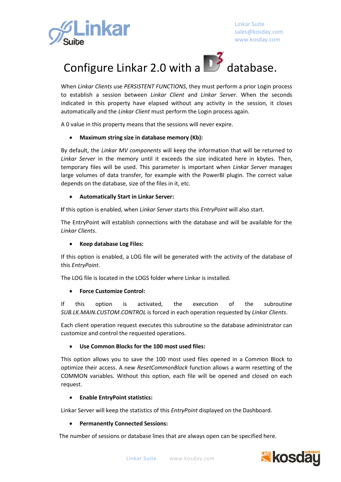



When *Linkar Clients* use *PERSISTENT FUNCTIONS*, they must perform a prior Login process to establish a session between *Linkar Client* and *Linkar Server*. When the seconds indicated in this property have elapsed without any activity in the session, it closes automatically and the *Linkar Client* must perform the Login process again.

A 0 value in this property means that the sessions will never expire.

#### • **Maximum string size in database memory (Kb):**

By default, the *Linkar MV components* will keep the information that will be returned to *Linkar Server* in the memory until it exceeds the size indicated here in kbytes. Then, temporary files will be used. This parameter is important when *Linkar Server* manages large volumes of data transfer, for example with the PowerBI plugin. The correct value depends on the database, size of the files in it, etc.

#### • **Automatically Start in Linkar Server:**

**I**f this option is enabled, when *Linkar Server* starts this *EntryPoint* will also start.

The EntryPoint will establish connections with the database and will be available for the *Linkar Clients*.

#### • **Keep database Log Files:**

If this option is enabled, a LOG file will be generated with the activity of the database of this *EntryPoint*.

The LOG file is located in the LOGS folder where Linkar is installed.

#### • **Force Customize Control:**

If this option is activated, the execution of the subroutine *SUB.LK.MAIN.CUSTOM.CONTROL* is forced in each operation requested by *Linkar Clients*.

Each client operation request executes this subroutine so the database administrator can customize and control the requested operations.

#### • **Use Common Blocks for the 100 most used files:**

This option allows you to save the 100 most used files opened in a Common Block to optimize their access. A new *ResetCommonBlock* function allows a warm resetting of the COMMON variables. Without this option, each file will be opened and closed on each request.

#### • **Enable EntryPoint statistics:**

Linkar Server will keep the statistics of this *EntryPoint* displayed on the Dashboard.

#### • **Permanently Connected Sessions:**

The number of sessions or database lines that are always open can be specified here.

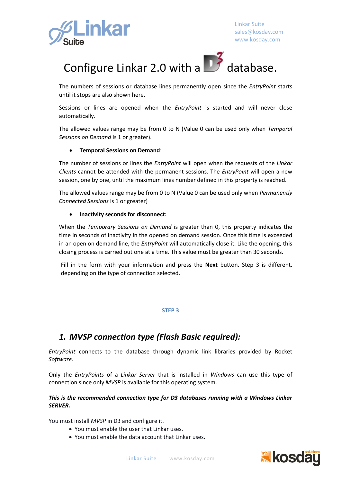



The numbers of sessions or database lines permanently open since the *EntryPoint* starts until it stops are also shown here.

Sessions or lines are opened when the *EntryPoint* is started and will never close automatically.

The allowed values range may be from 0 to N (Value 0 can be used only when *Temporal Sessions on Demand* is 1 or greater).

#### • **Temporal Sessions on Demand**:

The number of sessions or lines the *EntryPoint* will open when the requests of the *Linkar Clients* cannot be attended with the permanent sessions. The *EntryPoint* will open a new session, one by one, until the maximum lines number defined in this property is reached.

The allowed values range may be from 0 to N (Value 0 can be used only when *Permanently Connected Sessions* is 1 or greater)

#### • **Inactivity seconds for disconnect:**

When the *Temporary Sessions on Demand* is greater than 0, this property indicates the time in seconds of inactivity in the opened on demand session. Once this time is exceeded in an open on demand line, the *EntryPoint* will automatically close it. Like the opening, this closing process is carried out one at a time. This value must be greater than 30 seconds.

Fill in the form with your information and press the **Next** button. Step 3 is different, depending on the type of connection selected.

#### **STEP 3**

### *1. MVSP connection type (Flash Basic required):*

*EntryPoint* connects to the database through dynamic link libraries provided by Rocket *Software*.

Only the *EntryPoints* of a *Linkar Server* that is installed in *Windows* can use this type of connection since only *MVSP* is available for this operating system.

#### *This is the recommended connection type for D3 databases running with a Windows Linkar SERVER.*

You must install *MVSP* in D3 and configure it.

- You must enable the user that Linkar uses.
- You must enable the data account that Linkar uses.

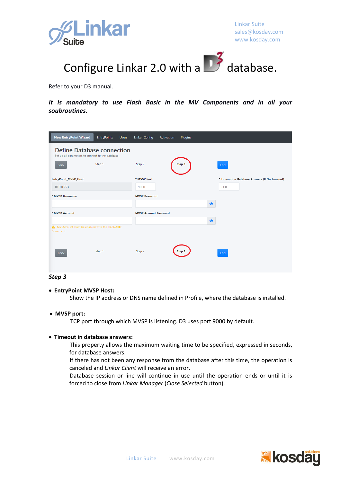



Refer to your D3 manual.

*It is mandatory to use Flash Basic in the MV Components and in all your soubroutines.*

| <b>New EntryPoint Wizard</b>                                                          | <b>EntryPoints</b> | <b>Users</b> | <b>Linkar Config</b>         | Activation | Plugins |           |                                              |
|---------------------------------------------------------------------------------------|--------------------|--------------|------------------------------|------------|---------|-----------|----------------------------------------------|
| <b>Define Database connection</b><br>Set up all parameters to connect to the database |                    |              |                              |            |         |           |                                              |
| <b>Back</b>                                                                           | Step 1             |              | Step 2                       |            | Step 3  |           | End                                          |
| <b>EntryPoint_MVSP_Host</b>                                                           |                    |              | * MVSP Port                  |            |         |           | * Timeout in Database Answers (0 No Timeout) |
| 10.0.0.253                                                                            |                    |              | 9000                         |            |         |           | 600                                          |
| * MVSP Username                                                                       |                    |              | <b>MVSP Password</b>         |            |         |           |                                              |
|                                                                                       |                    |              |                              |            |         | $\bullet$ |                                              |
| * MVSP Account                                                                        |                    |              | <b>MVSP Account Password</b> |            |         |           |                                              |
|                                                                                       |                    |              |                              |            |         | $\bullet$ |                                              |
| A MV Account must be enabled with the LK.ENABLE<br>Command.                           |                    |              |                              |            |         |           |                                              |
| <b>Back</b>                                                                           | Step 1             |              | Step 2                       |            | Step 3  |           | End                                          |

#### *Step 3*

#### • **EntryPoint MVSP Host:**

Show the IP address or DNS name defined in Profile, where the database is installed.

#### • **MVSP port:**

TCP port through which MVSP is listening. D3 uses port 9000 by default.

#### • **Timeout in database answers:**

This property allows the maximum waiting time to be specified, expressed in seconds, for database answers.

If there has not been any response from the database after this time, the operation is canceled and *Linkar Client* will receive an error.

Database session or line will continue in use until the operation ends or until it is forced to close from *Linkar Manager* (*Close Selected* button).

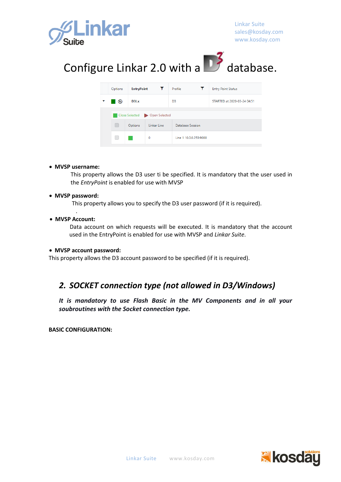



| Options | <b>EntryPoint</b>             |                                | Profile                | <b>Entry Point Status</b>   |  |
|---------|-------------------------------|--------------------------------|------------------------|-----------------------------|--|
| ُ       | D <sub>3</sub> L <sub>x</sub> |                                | D <sub>3</sub>         | STARTED at 2020-03-24 04:51 |  |
|         |                               | Close Selected D Open Selected |                        |                             |  |
| m.      | Options                       | Linkar Line                    | Database Session       |                             |  |
|         |                               | 0                              | Line 1 10.0.0.253:9000 |                             |  |

#### • **MVSP username:**

This property allows the D3 user ti be specified. It is mandatory that the user used in the *EntryPoint* is enabled for use with MVSP

#### • **MVSP password:**

This property allows you to specify the D3 user password (if it is required).

. • **MVSP Account:**

> Data account on which requests will be executed. It is mandatory that the account used in the EntryPoint is enabled for use with MVSP and *Linkar Suite*.

#### • **MVSP account password:**

This property allows the D3 account password to be specified (if it is required).

### *2. SOCKET connection type (not allowed in D3/Windows)*

*It is mandatory to use Flash Basic in the MV Components and in all your soubroutines with the Socket connection type.*

**BASIC CONFIGURATION:**

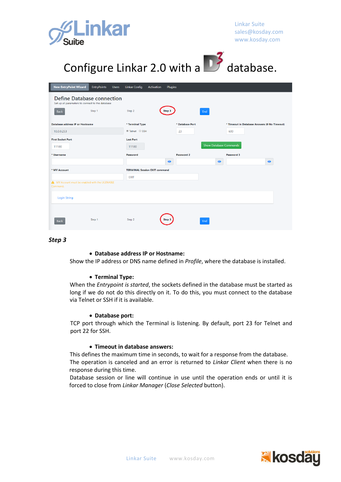



|                                                           | Step 2                               | Step 3    |                 | End                           |            |                                              |
|-----------------------------------------------------------|--------------------------------------|-----------|-----------------|-------------------------------|------------|----------------------------------------------|
| <b>Database address IP or Hostname</b>                    | * Terminal Type                      |           | * Database Port |                               |            | * Timeout in Database Answers (0 No Timeout) |
| 10.0.0.253                                                | <sup>●</sup> Telnet ● SSH            |           | 23              |                               | 600        |                                              |
| <b>First Socket Port</b>                                  | <b>Last Port</b>                     |           |                 |                               |            |                                              |
| 11100                                                     | 11100                                |           |                 | <b>Show Database Commands</b> |            |                                              |
| * Username                                                | Password                             |           | Password 2      |                               | Password 3 |                                              |
|                                                           |                                      | $\bullet$ |                 | $\bullet$                     |            | $\bullet$                                    |
| * MV Account                                              | <b>TERMINAL Session EXIT command</b> |           |                 |                               |            |                                              |
|                                                           |                                      |           |                 |                               |            |                                              |
|                                                           |                                      |           |                 |                               |            |                                              |
| <b>Login String</b>                                       |                                      |           |                 |                               |            |                                              |
| MV Account must be enabled with the LK.ENABLE<br>Command. | <b>EXIT</b>                          |           |                 |                               |            |                                              |

#### *Step 3*

#### • **Database address IP or Hostname:**

Show the IP address or DNS name defined in *Profile*, where the database is installed.

#### • **Terminal Type:**

When the *Entrypoint is started*, the sockets defined in the database must be started as long if we do not do this directly on it. To do this, you must connect to the database via Telnet or SSH if it is available.

#### • **Database port:**

TCP port through which the Terminal is listening. By default, port 23 for Telnet and port 22 for SSH.

#### • **Timeout in database answers:**

This defines the maximum time in seconds, to wait for a response from the database. The operation is canceled and an error is returned to *Linkar Client* when there is no response during this time.

Database session or line will continue in use until the operation ends or until it is forced to close from *Linkar Manager* (*Close Selected* button).

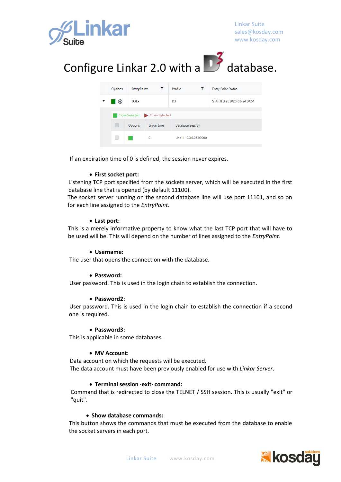

## Configure Linkar 2.0 with a  $\Box$  database.

| Options                       | <b>EntryPoint</b><br>$\mathbf{r}$ |             | Profile<br>Т           | <b>Entry Point Status</b>   |  |
|-------------------------------|-----------------------------------|-------------|------------------------|-----------------------------|--|
|                               | D3Lx                              |             | D <sub>3</sub>         | STARTED at 2020-03-24 04:51 |  |
| Close Selected Dopen Selected |                                   |             |                        |                             |  |
|                               | Options                           | Linkar Line | Database Session       |                             |  |
|                               |                                   | 0           | Line 1 10.0.0.253:9000 |                             |  |

If an expiration time of 0 is defined, the session never expires.

#### • **First socket port:**

Listening TCP port specified from the sockets server, which will be executed in the first database line that is opened (by default 11100).

The socket server running on the second database line will use port 11101, and so on for each line assigned to the *EntryPoint*.

#### • **Last port:**

This is a merely informative property to know what the last TCP port that will have to be used will be. This will depend on the number of lines assigned to the *EntryPoint*.

#### • **Username:**

The user that opens the connection with the database.

#### • **Password:**

User password. This is used in the login chain to establish the connection.

#### • **Password2:**

User password. This is used in the login chain to establish the connection if a second one is required.

#### • **Password3:**

This is applicable in some databases.

#### • **MV Account:**

Data account on which the requests will be executed. The data account must have been previously enabled for use with *Linkar Server*.

#### • **Terminal session ·exit· command:**

Command that is redirected to close the TELNET / SSH session. This is usually "exit" or "quit".

#### • **Show database commands:**

This button shows the commands that must be executed from the database to enable the socket servers in each port.

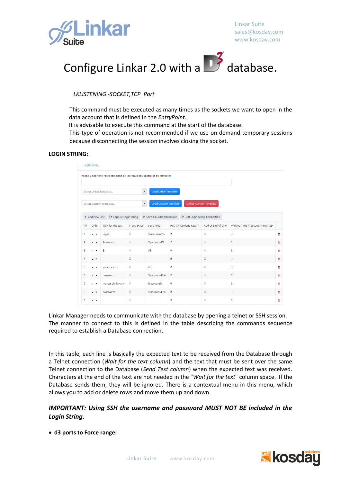



*LKLISTENING -SOCKET,TCP\_Port*

This command must be executed as many times as the sockets we want to open in the data account that is defined in the *EntryPoint*.

It is advisable to execute this command at the start of the database.

This type of operation is not recommended if we use on demand temporary sessions because disconnecting the session involves closing the socket.

#### **LOGIN STRING:**

|                | <b>Login String</b>                                                             |                                                                         |                      |                                 |                          |                              |                      |                                   |   |  |  |
|----------------|---------------------------------------------------------------------------------|-------------------------------------------------------------------------|----------------------|---------------------------------|--------------------------|------------------------------|----------------------|-----------------------------------|---|--|--|
|                |                                                                                 | Range D3 ports to Force command d3 -port.number. Separated by semicolon |                      |                                 |                          |                              |                      |                                   |   |  |  |
|                | Load Linkar Template<br>٠<br>Select Linkar Template                             |                                                                         |                      |                                 |                          |                              |                      |                                   |   |  |  |
|                | <b>Load Custom Template</b><br>Delete Custom Template<br>Select Custom Template |                                                                         |                      |                                 |                          |                              |                      |                                   |   |  |  |
|                | + Add New Line                                                                  | Capture Login String                                                    |                      | <b>D</b> Save As CustomTemplate |                          | Test Login String Connection |                      |                                   |   |  |  |
| N°             | Order                                                                           | Wait for the text                                                       | In any place         | Send Text                       |                          | Add CR Carriage Return       | Add LF End of Line   | Waiting Time in seconds next step |   |  |  |
| 1              | $\mathbf{A}$                                                                    | login:                                                                  | $\qquad \qquad \Box$ | %username%                      | $\overline{\mathcal{L}}$ |                              | $\qquad \qquad \Box$ | 3                                 | û |  |  |
| $\overline{2}$ | $\mathbf{A}$                                                                    | Password:                                                               | $\qquad \qquad \Box$ | %password%                      | $\overline{\mathcal{L}}$ |                              | $\qquad \qquad \Box$ | 3                                 | û |  |  |
| $\overline{3}$ | $\mathbf{A}$                                                                    | s                                                                       | $\qquad \qquad \Box$ | d3                              | $\overline{\mathcal{L}}$ |                              | $\qquad \qquad \Box$ | 3                                 | û |  |  |
| 4              | $\mathbf{A}$                                                                    |                                                                         | $\qquad \qquad \Box$ |                                 | $\overline{\mathcal{L}}$ |                              | $\qquad \qquad \Box$ | 3                                 | 面 |  |  |
| 5              | $\overline{A}$                                                                  | your user id:                                                           | $\qquad \qquad \Box$ | dm                              | $\overline{\mathcal{L}}$ |                              | $\qquad \qquad \Box$ | 3                                 | û |  |  |
| 6              | $\blacktriangle$ $\blacktriangledown$                                           | password:                                                               | $\qquad \qquad \Box$ | %password2%                     | $\blacktriangledown$     |                              | $\qquad \qquad \Box$ | 3                                 | 面 |  |  |
| $\overline{7}$ | $\blacktriangle$ $\blacktriangledown$                                           | master dictionary:                                                      | $\qquad \qquad \Box$ | %account%                       | $\overline{\mathcal{L}}$ |                              | $\Box$               | 3                                 | û |  |  |
| 8              | $\blacktriangle$ $\blacktriangledown$                                           | password:                                                               | $\Box$               | %password3%                     | $\blacktriangledown$     |                              | $\qquad \qquad \Box$ | 3                                 | 亩 |  |  |
| 9              | $\overline{A}$                                                                  |                                                                         | $\qquad \qquad \Box$ |                                 | $\blacktriangleright$    |                              | $\qquad \qquad \Box$ | 3                                 | û |  |  |

Linkar Manager needs to communicate with the database by opening a telnet or SSH session. The manner to connect to this is defined in the table describing the commands sequence required to establish a Database connection.

In this table, each line is basically the expected text to be received from the Database through a Telnet connection (*Wait for the text column*) and the text that must be sent over the same Telnet connection to the Database (*Send Text column*) when the expected text was received. Characters at the end of the text are not needed in the "*Wait for the text*" column space. If the Database sends them, they will be ignored. There is a contextual menu in this menu, which allows you to add or delete rows and move them up and down.

#### *IMPORTANT: Using SSH the username and password MUST NOT BE included in the Login String.*

• **d3 ports to Force range:**

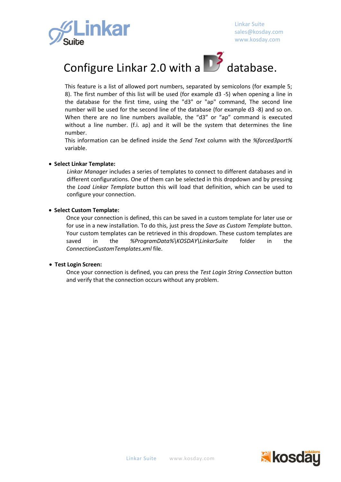



This feature is a list of allowed port numbers, separated by semicolons (for example 5; 8). The first number of this list will be used (for example d3 -5) when opening a line in the database for the first time, using the "d3" or "ap" command, The second line number will be used for the second line of the database (for example d3 -8) and so on. When there are no line numbers available, the "d3" or "ap" command is executed without a line number. (f.i. ap) and it will be the system that determines the line number.

This information can be defined inside the *Send Text* column with the *%forced3port%* variable.

#### • **Select Linkar Template:**

*Linkar Manager* includes a series of templates to connect to different databases and in different configurations. One of them can be selected in this dropdown and by pressing the *Load Linkar Template* button this will load that definition, which can be used to configure your connection.

• **Select Custom Template:**

Once your connection is defined, this can be saved in a custom template for later use or for use in a new installation. To do this, just press the *Save as Custom Template* button. Your custom templates can be retrieved in this dropdown. These custom templates are saved in the *%ProgramData%\KOSDAY\LinkarSuite* folder in the *ConnectionCustomTemplates.xml* file.

#### • **Test Login Screen:**

Once your connection is defined, you can press the *Test Login String Connection* button and verify that the connection occurs without any problem.

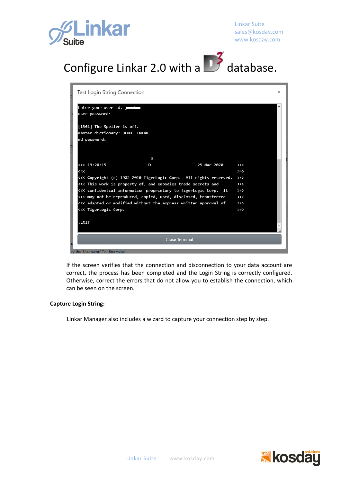



| Test Login String Connection                                        |               | $\times$ |
|---------------------------------------------------------------------|---------------|----------|
| Enter your user id:<br>user password:<br>[1301] The Speller is off. |               |          |
| master dictionary: DEMO.LINKAR                                      |               |          |
| md password:                                                        |               |          |
|                                                                     |               |          |
|                                                                     |               |          |
| 3                                                                   |               |          |
| <<< 19:28:15<br>25 Mar 2020<br>D                                    | $\rightarrow$ |          |
| $\prec\prec\prec$                                                   | $\rightarrow$ |          |
| <<< Copyright (c) 1982-2010 TigerLogic Corp. All rights reserved.   | $\rightarrow$ |          |
| <<< This work is property of, and embodies trade secrets and        | $\rightarrow$ |          |
| <<< confidential information proprietary to TigerLogic Corp. It     | $\rightarrow$ |          |
| <<< may not be reproduced, copied, used, disclosed, transferred     | $\rightarrow$ |          |
| <<< adapted or modified without the express written approval of     | $\rightarrow$ |          |
| <<< TigerLogic Corp.                                                | $\rightarrow$ |          |
|                                                                     |               |          |
| :EXIT                                                               |               |          |
|                                                                     |               |          |
|                                                                     |               |          |
| <b>Close Terminal</b>                                               |               |          |
| by the 'Username' TextBox value                                     |               |          |

If the screen verifies that the connection and disconnection to your data account are correct, the process has been completed and the Login String is correctly configured. Otherwise, correct the errors that do not allow you to establish the connection, which can be seen on the screen.

#### **Capture Login String:**

Linkar Manager also includes a wizard to capture your connection step by step.

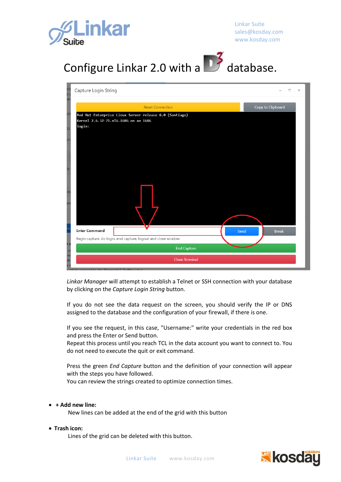



| Capture Login String                                          |                         |      |                   | $\times$ |
|---------------------------------------------------------------|-------------------------|------|-------------------|----------|
|                                                               |                         |      |                   |          |
|                                                               | <b>Reset Connection</b> |      | Copy to Clipboard |          |
| Red Hat Enterprise Linux Server release 6.0 (Santiago)        |                         |      |                   |          |
| Kernel 2.6.32-71.el6.i686 on an i686<br>login:                |                         |      |                   |          |
|                                                               |                         |      |                   |          |
|                                                               |                         |      |                   |          |
|                                                               |                         |      |                   |          |
|                                                               |                         |      |                   |          |
|                                                               |                         |      |                   |          |
|                                                               |                         |      |                   |          |
|                                                               |                         |      |                   |          |
|                                                               |                         |      |                   |          |
|                                                               |                         |      |                   |          |
|                                                               |                         |      |                   |          |
|                                                               |                         |      |                   |          |
|                                                               |                         |      |                   |          |
|                                                               |                         |      |                   |          |
| <b>Enter Command</b>                                          |                         | Send |                   |          |
|                                                               |                         |      | <b>Break</b>      |          |
| Begin capture, do login, end capture, logout and close window |                         |      |                   |          |
|                                                               | <b>End Capture</b>      |      |                   |          |
|                                                               | <b>Close Terminal</b>   |      |                   |          |
| will be confered by the 'Decoyeed 2' ToytRoy value            |                         |      |                   |          |

*Linkar Manager* will attempt to establish a Telnet or SSH connection with your database by clicking on the *Capture Login String* button.

If you do not see the data request on the screen, you should verify the IP or DNS assigned to the database and the configuration of your firewall, if there is one.

If you see the request, in this case, "Username:" write your credentials in the red box and press the Enter or Send button.

Repeat this process until you reach TCL in the data account you want to connect to. You do not need to execute the quit or exit command.

Press the green *End Capture* button and the definition of your connection will appear with the steps you have followed.

You can review the strings created to optimize connection times.

#### • **+ Add new line:**

New lines can be added at the end of the grid with this button

#### • **Trash icon:**

Lines of the grid can be deleted with this button.

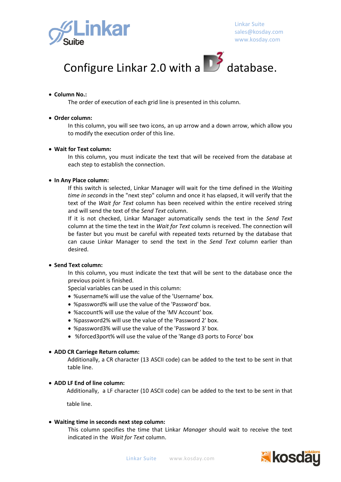



#### • **Column No.:**

The order of execution of each grid line is presented in this column.

#### • **Order column:**

In this column, you will see two icons, an up arrow and a down arrow, which allow you to modify the execution order of this line.

#### • **Wait for Text column:**

In this column, you must indicate the text that will be received from the database at each step to establish the connection.

#### • **In Any Place column:**

If this switch is selected, Linkar Manager will wait for the time defined in the *Waiting time in seconds* in the "next step" column and once it has elapsed, it will verify that the text of the *Wait for Text* column has been received within the entire received string and will send the text of the *Send Text* column.

If it is not checked, Linkar Manager automatically sends the text in the *Send Text* column at the time the text in the *Wait for Text* column is received. The connection will be faster but you must be careful with repeated texts returned by the database that can cause Linkar Manager to send the text in the *Send Text* column earlier than desired.

#### • **Send Text column:**

In this column, you must indicate the text that will be sent to the database once the previous point is finished.

Special variables can be used in this column:

- %username% will use the value of the 'Username' box.
- %password% will use the value of the 'Password' box.
- %account% will use the value of the 'MV Account' box.
- %password2% will use the value of the 'Password 2' box.
- %password3% will use the value of the 'Password 3' box.
- %forced3port% will use the value of the 'Range d3 ports to Force' box

#### • **ADD CR Carriege Return column:**

Additionally, a CR character (13 ASCII code) can be added to the text to be sent in that table line.

#### • **ADD LF End of line column:**

Additionally, a LF character (10 ASCII code) can be added to the text to be sent in that

table line.

#### • **Waiting time in seconds next step column:**

This column specifies the time that Linkar *Manager* should wait to receive the text indicated in the *Wait for Text* column.

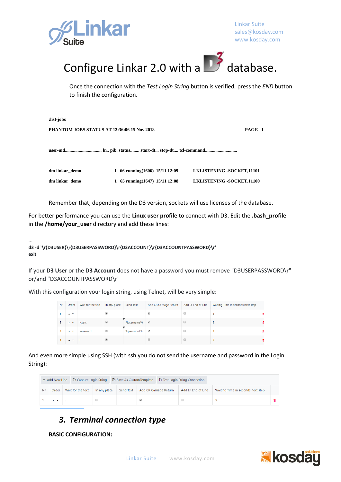



Once the connection with the *Test Login String* button is verified, press the *END* button to finish the configuration.

| :list-jobs                                            |                                   |                                  |  |  |  |  |  |
|-------------------------------------------------------|-----------------------------------|----------------------------------|--|--|--|--|--|
| PHANTOM JOBS STATUS AT 12:36:06 15 Nov 2018<br>PAGE 1 |                                   |                                  |  |  |  |  |  |
|                                                       |                                   |                                  |  |  |  |  |  |
| dm linkar_demo                                        | 1 66 running(1606) 15/11 12:09    | <b>LKLISTENING -SOCKET,11101</b> |  |  |  |  |  |
| dm linkar demo                                        | 1 65 running $(1647)$ 15/11 12:08 | LKLISTENING -SOCKET,11100        |  |  |  |  |  |

Remember that, depending on the D3 version, sockets will use licenses of the database.

For better performance you can use the **Linux user profile** to connect with D3. Edit the **.bash\_profile** in the **/home/your\_user** directory and add these lines:

**... d3 -d '\r{D3USER}\r{D3USERPASSWORD}\r{D3ACCOUNT}\r{D3ACCOUNTPASSWORD}\r' exit**

If your **D3 User** or the **D3 Account** does not have a password you must remove "D3USERPASSWORD\r" or/and "D3ACCOUNTPASSWORD\r"

With this configuration your login string, using Telnet, will be very simple:

| <b>N°</b> | Order                                 | Wait for the text | In any place             | Send Text  | Add CR Carriage Return   | Add LF End of Line | Waiting Time in seconds next step |  |
|-----------|---------------------------------------|-------------------|--------------------------|------------|--------------------------|--------------------|-----------------------------------|--|
|           | $\overline{A}$                        |                   |                          |            |                          |                    |                                   |  |
|           | $\blacktriangle$ $\blacktriangledown$ | login:            | $\overline{\mathcal{L}}$ | %username% | $\overline{\mathcal{L}}$ |                    |                                   |  |
|           | $\overline{A}$                        | Password:         | $\overline{\mathcal{L}}$ | %password% | $\overline{\mathcal{L}}$ |                    |                                   |  |
|           |                                       |                   |                          |            |                          |                    |                                   |  |

And even more simple using SSH (with ssh you do not send the username and password in the Login String):

|    | + Add New Line |                   |              |           | Capture Login String $\Box$ Capture Login String $\Box$ Capture Login String $\Box$ Capture Login String $\Box$ Capture Login String |                        |                    |                                   |  |
|----|----------------|-------------------|--------------|-----------|--------------------------------------------------------------------------------------------------------------------------------------|------------------------|--------------------|-----------------------------------|--|
| N° | Order          | Wait for the text | In any place | Send Text |                                                                                                                                      | Add CR Carriage Return | Add LF End of Line | Waiting Time in seconds next step |  |
|    | $\mathbf{A}$   |                   |              |           |                                                                                                                                      |                        |                    |                                   |  |

## *3. Terminal connection type*

**BASIC CONFIGURATION:**

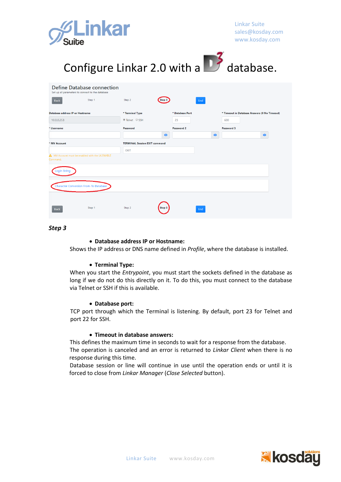

| Configure Linkar 2.0 with a <b>3</b> database.                                        |                                      |           |                 |     |           |                                              |  |  |  |  |
|---------------------------------------------------------------------------------------|--------------------------------------|-----------|-----------------|-----|-----------|----------------------------------------------|--|--|--|--|
| <b>Define Database connection</b><br>Set up all parameters to connect to the database |                                      |           |                 |     |           |                                              |  |  |  |  |
| Step 1<br><b>Back</b>                                                                 | Step 2                               | Step:     |                 | End |           |                                              |  |  |  |  |
| Database address IP or Hostname                                                       | * Terminal Type                      |           | * Database Port |     |           | * Timeout in Database Answers (0 No Timeout) |  |  |  |  |
| 10.0.0.253                                                                            | <sup>●</sup> Telnet ● SSH            |           | 23              |     |           | 600                                          |  |  |  |  |
| * Username                                                                            | Password                             | $\bullet$ | Password 2      |     | $\bullet$ | Password 3<br>$\bullet$                      |  |  |  |  |
| * MV Account                                                                          | <b>TERMINAL Session EXIT command</b> |           |                 |     |           |                                              |  |  |  |  |
| MV Account must be enabled with the LK.ENABLE<br>Command.                             | <b>EXIT</b>                          |           |                 |     |           |                                              |  |  |  |  |
| Login String                                                                          |                                      |           |                 |     |           |                                              |  |  |  |  |
| Character Conversion From-To Database                                                 |                                      |           |                 |     |           |                                              |  |  |  |  |
| Step 1<br><b>Back</b>                                                                 | Step 2                               | Step 3    |                 | End |           |                                              |  |  |  |  |

*Step 3*

#### • **Database address IP or Hostname:**

Shows the IP address or DNS name defined in *Profile*, where the database is installed.

#### • **Terminal Type:**

When you start the *Entrypoint*, you must start the sockets defined in the database as long if we do not do this directly on it. To do this, you must connect to the database via Telnet or SSH if this is available.

#### • **Database port:**

TCP port through which the Terminal is listening. By default, port 23 for Telnet and port 22 for SSH.

#### • **Timeout in database answers:**

This defines the maximum time in seconds to wait for a response from the database. The operation is canceled and an error is returned to *Linkar Client* when there is no response during this time.

Database session or line will continue in use until the operation ends or until it is forced to close from *Linkar Manager* (*Close Selected* button).

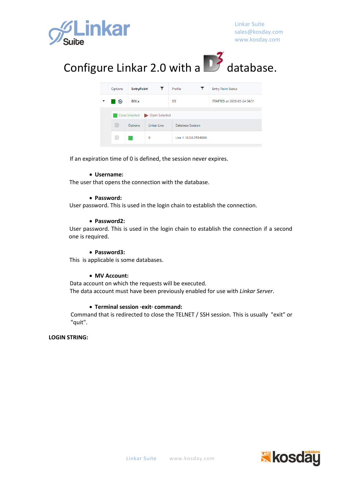

## Configure Linkar 2.0 with a  $\Box$  database.

| Options                       | <b>EntryPoint</b><br>$\mathbf{T}$ |             | Profile                | <b>Entry Point Status</b>   |  |  |  |
|-------------------------------|-----------------------------------|-------------|------------------------|-----------------------------|--|--|--|
|                               | D3Lx                              |             | D <sub>3</sub>         | STARTED at 2020-03-24 04:51 |  |  |  |
| Close Selected Dopen Selected |                                   |             |                        |                             |  |  |  |
|                               | Options                           | Linkar Line | Database Session       |                             |  |  |  |
|                               | 0                                 |             | Line 1 10.0.0.253:9000 |                             |  |  |  |

If an expiration time of 0 is defined, the session never expires.

#### • **Username:**

The user that opens the connection with the database.

#### • **Password:**

User password. This is used in the login chain to establish the connection.

#### • **Password2:**

User password. This is used in the login chain to establish the connection if a second one is required.

#### • **Password3:**

This is applicable is some databases.

#### • **MV Account:**

Data account on which the requests will be executed. The data account must have been previously enabled for use with *Linkar Server*.

#### • **Terminal session ·exit· command:**

Command that is redirected to close the TELNET / SSH session. This is usually "exit" or "quit".

#### **LOGIN STRING:**

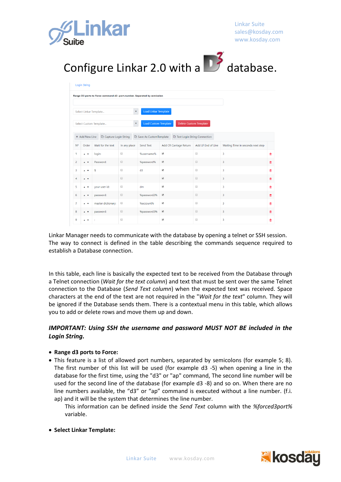



|                | <b>Login String</b>                   |                                                                         |                                             |                                  |                              |                               |                                   |   |
|----------------|---------------------------------------|-------------------------------------------------------------------------|---------------------------------------------|----------------------------------|------------------------------|-------------------------------|-----------------------------------|---|
|                |                                       | Range D3 ports to Force command d3 -port.number. Separated by semicolon |                                             |                                  |                              |                               |                                   |   |
|                |                                       | Select Linkar Template                                                  |                                             | <b>Load Linkar Template</b><br>۰ |                              |                               |                                   |   |
|                |                                       | Select Custom Template                                                  |                                             | <b>Load Custom Template</b><br>۰ |                              | <b>Delete Custom Template</b> |                                   |   |
|                | + Add New Line                        | Capture Login String                                                    |                                             | Save As CustomTemplate           | Test Login String Connection |                               |                                   |   |
| No             | Order                                 | Wait for the text                                                       | In any place                                | Send Text                        | Add CR Carriage Return       | Add LF End of Line            | Waiting Time in seconds next step |   |
| 1              | $\overline{A}$                        | login:                                                                  | $\qquad \qquad \Box$                        | %username%                       | $\overline{\mathcal{L}}$     | $\qquad \qquad \Box$          | 3                                 | û |
| $\overline{2}$ | $\blacktriangle$ $\blacktriangledown$ | Password:                                                               | $\qquad \qquad \Box$                        | %password%                       | $\overline{\mathcal{L}}$     |                               | $\overline{3}$                    | û |
| $\overline{3}$ | $\overline{A}$                        | s                                                                       | $\qquad \qquad \Box$                        | d3                               | $\overline{\mathcal{L}}$     | $\qquad \qquad \Box$          | $\overline{3}$                    | 亩 |
| 4              | $\blacktriangle$ $\blacktriangledown$ |                                                                         | $\qquad \qquad \qquad \qquad \qquad \qquad$ |                                  | $\overline{\mathbf{v}}$      | $\qquad \qquad \Box$          | 3                                 | Û |
| 5              | $\blacktriangle$ $\blacktriangledown$ | your user id:                                                           | $\Box$                                      | dm                               | $\overline{\mathcal{L}}$     | $\Box$                        | 3                                 | 會 |
| 6              | $\overline{A}$                        | password:                                                               | $\qquad \qquad \qquad \qquad \qquad \qquad$ | %password2%                      | $\overline{\mathbf{v}}$      | $\qquad \qquad \Box$          | 3                                 | Û |
| $\overline{7}$ | $\overline{A}$                        | master dictionary:                                                      | $\Box$                                      | %account%                        | $\blacktriangleright$        | $\qquad \qquad \Box$          | 3                                 | 會 |
| 8              | $\blacktriangle$ $\blacktriangledown$ | password:                                                               | $\qquad \qquad \Box$                        | %password3%                      | $\overline{\mathcal{L}}$     | $\qquad \qquad \Box$          | 3                                 | û |
| 9              | $\overline{\mathbf{v}}$               |                                                                         | $\qquad \qquad \Box$                        |                                  | $\blacktriangledown$         | $\Box$                        | 3                                 | û |

Linkar Manager needs to communicate with the database by opening a telnet or SSH session. The way to connect is defined in the table describing the commands sequence required to establish a Database connection.

In this table, each line is basically the expected text to be received from the Database through a Telnet connection (*Wait for the text column*) and text that must be sent over the same Telnet connection to the Database (*Send Text column*) when the expected text was received. Space characters at the end of the text are not required in the "*Wait for the text*" column. They will be ignored if the Database sends them. There is a contextual menu in this table, which allows you to add or delete rows and move them up and down.

#### *IMPORTANT: Using SSH the username and password MUST NOT BE included in the Login String.*

#### • **Range d3 ports to Force:**

- This feature is a list of allowed port numbers, separated by semicolons (for example 5; 8). The first number of this list will be used (for example d3 -5) when opening a line in the database for the first time, using the "d3" or "ap" command, The second line number will be used for the second line of the database (for example d3 -8) and so on. When there are no line numbers available, the "d3" or "ap" command is executed without a line number. (f.i. ap) and it will be the system that determines the line number.
	- This information can be defined inside the *Send Text* column with the *%forced3port%* variable.
- **Select Linkar Template:**

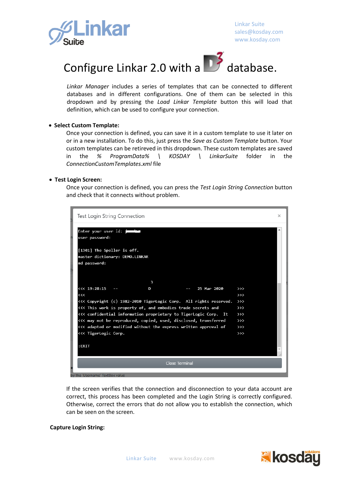



*Linkar Manager* includes a series of templates that can be connected to different databases and in different configurations. One of them can be selected in this dropdown and by pressing the *Load Linkar Template* button this will load that definition, which can be used to configure your connection.

#### • **Select Custom Template:**

Once your connection is defined, you can save it in a custom template to use it later on or in a new installation. To do this, just press the *Save as Custom Template* button. Your custom templates can be retireved in this dropdown. These custom templates are saved in the *% ProgramData% \ KOSDAY \ LinkarSuite* folder in the *ConnectionCustomTemplates.xml* file

#### • **Test Login Screen:**

Once your connection is defined, you can press the *Test Login String Connection* button and check that it connects without problem.

| Test Login String Connection                                      | $\times$      |
|-------------------------------------------------------------------|---------------|
| Enter your user id: j<br>user password:                           |               |
| [1301] The Speller is off.                                        |               |
| master dictionary: DEMO.LINKAR                                    |               |
| md password:                                                      |               |
|                                                                   |               |
| 3                                                                 |               |
| <<< 19:28:15<br>25 Mar 2020<br>D                                  | $\rightarrow$ |
| <<                                                                | $\rightarrow$ |
| <<< Copyright (c) 1982-2010 TigerLogic Corp. All rights reserved. | $\rightarrow$ |
| <<< This work is property of, and embodies trade secrets and      | $\rightarrow$ |
| <<< confidential information proprietary to TigerLogic Corp. It   | $\rightarrow$ |
| <<< may not be reproduced, copied, used, disclosed, transferred   | $\rightarrow$ |
| <<< adapted or modified without the express written approval of   | $\rightarrow$ |
| <<< TigerLogic Corp.                                              | $\rightarrow$ |
|                                                                   |               |
| :EXIT                                                             |               |
|                                                                   |               |
| <b>Close Terminal</b>                                             |               |
| by the 'Username' TextBox value                                   |               |

If the screen verifies that the connection and disconnection to your data account are correct, this process has been completed and the Login String is correctly configured. Otherwise, correct the errors that do not allow you to establish the connection, which can be seen on the screen.

#### **Capture Login String:**

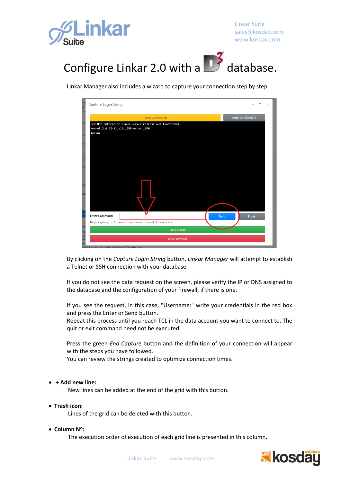



Linkar Manager also includes a wizard to capture your connection step by step.



By clicking on the *Capture Login String* button, *Linkar Manager* will attempt to establish a Telnet or SSH connection with your database.

If you do not see the data request on the screen, please verify the IP or DNS assigned to the database and the configuration of your firewall, if there is one.

If you see the request, in this case, "Username:" write your credentials in the red box and press the Enter or Send button.

Repeat this process until you reach TCL in the data account you want to connect to. The quit or exit command need not be executed.

Press the green *End Capture* button and the definition of your connection will appear with the steps you have followed.

You can review the strings created to optimize connection times.

#### • **+ Add new line:**

New lines can be added at the end of the grid with this button.

• **Trash icon:**

Lines of the grid can be deleted with this button.

• **Column Nº:**

The execution order of execution of each grid line is presented in this column.

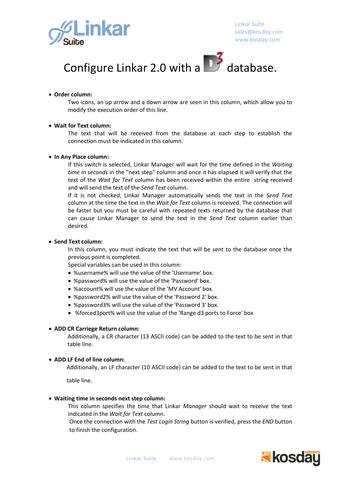



#### • **Order column:**

Two icons, an up arrow and a down arrow are seen in this column, which allow you to modify the execution order of this line.

#### • **Wait for Text column:**

The text that will be received from the database at each step to establish the connection must be indicated in this column.

#### • **In Any Place column:**

If this switch is selected, Linkar Manager will wait for the time defined in the *Waiting time in seconds* in the "next step" column and once it has elapsed it will verify that the text of the *Wait for Text* column has been received within the entire string received and will send the text of the *Send Text* column.

If it is not checked, Linkar Manager automatically sends the text in the *Send Text* column at the time the text in the *Wait for Text* column is received. The connection will be faster but you must be careful with repeated texts returned by the database that can cause Linkar Manager to send the text in the *Send Text* column earlier than desired.

#### • **Send Text column:**

In this column, you must indicate the text that will be sent to the database once the previous point is completed.

Special variables can be used in this column:

- %username% will use the value of the 'Username' box.
- %password% will use the value of the 'Password' box.
- %account% will use the value of the 'MV Account' box.
- %password2% will use the value of the 'Password 2' box.
- %password3% will use the value of the 'Password 3' box.
- %forced3port% will use the value of the 'Range d3 ports to Force' box

#### • **ADD CR Carriege Return column:**

Additionally, a CR character (13 ASCII code) can be added to the text to be sent in that table line.

#### • **ADD LF End of line column:**

Additionally, an LF character (10 ASCII code) can be added to the text to be sent in that

table line.

#### • **Waiting time in seconds next step column:**

This column specifies the time that Linkar *Manager* should wait to receive the text indicated in the *Wait for Text* column.

Once the connection with the *Test Login String* button is verified, press the *END* button to finish the configuration.

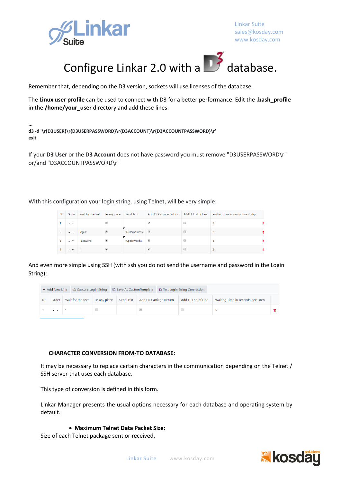



Remember that, depending on the D3 version, sockets will use licenses of the database.

The **Linux user profile** can be used to connect with D3 for a better performance. Edit the **.bash\_profile** in the **/home/your\_user** directory and add these lines:

**... d3 -d '\r{D3USER}\r{D3USERPASSWORD}\r{D3ACCOUNT}\r{D3ACCOUNTPASSWORD}\r' exit**

If your **D3 User** or the **D3 Account** does not have password you must remove "D3USERPASSWORD\r" or/and "D3ACCOUNTPASSWORD\r"

With this configuration your login string, using Telnet, will be very simple:

| N° | Order                                 | Wait for the text | In any place          | Send Text  | Add CR Carriage Return   | Add LF End of Line | Waiting Time in seconds next step |  |
|----|---------------------------------------|-------------------|-----------------------|------------|--------------------------|--------------------|-----------------------------------|--|
|    | $\blacktriangle$ $\blacktriangledown$ |                   | ✔                     |            |                          |                    |                                   |  |
|    | $\blacktriangle$ $\blacktriangledown$ | login:            | $\blacktriangleright$ | %username% | $\overline{\mathcal{L}}$ |                    |                                   |  |
| 3  | $\mathbf{A}$                          | Password:         | $\blacktriangledown$  | %password% | $\blacktriangledown$     |                    |                                   |  |
| 4  | $\overline{1}$                        |                   | ✔                     |            |                          |                    |                                   |  |

And even more simple using SSH (with ssh you do not send the username and password in the Login String):

| + Add New Line |                                       |                   |              |                                  | Capture Login String <sup> </sup> $\Box$ Capture Login String $\Box$ Save As Custom Template $\Box$ Test Login String Connection |  |                    |                                   |  |
|----------------|---------------------------------------|-------------------|--------------|----------------------------------|----------------------------------------------------------------------------------------------------------------------------------|--|--------------------|-----------------------------------|--|
| <b>N°</b>      | Order                                 | Wait for the text | In any place | Send Text Add CR Carriage Return |                                                                                                                                  |  | Add LF End of Line | Waiting Time in seconds next step |  |
|                | $\blacktriangle$ $\blacktriangledown$ |                   |              |                                  |                                                                                                                                  |  |                    |                                   |  |

#### **CHARACTER CONVERSION FROM-TO DATABASE:**

It may be necessary to replace certain characters in the communication depending on the Telnet / SSH server that uses each database.

This type of conversion is defined in this form.

Linkar Manager presents the usual options necessary for each database and operating system by default.

#### • **Maximum Telnet Data Packet Size:**

Size of each Telnet package sent or received.

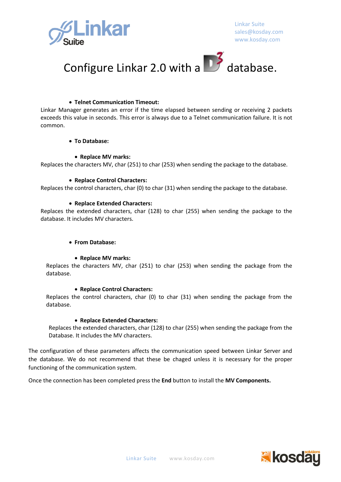



#### • **Telnet Communication Timeout:**

Linkar Manager generates an error if the time elapsed between sending or receiving 2 packets exceeds this value in seconds. This error is always due to a Telnet communication failure. It is not common.

#### • **To Database:**

#### • **Replace MV marks:**

Replaces the characters MV, char (251) to char (253) when sending the package to the database.

#### • **Replace Control Characters:**

Replaces the control characters, char (0) to char (31) when sending the package to the database.

#### • **Replace Extended Characters:**

Replaces the extended characters, char (128) to char (255) when sending the package to the database. It includes MV characters.

#### • **From Database:**

#### • **Replace MV marks:**

Replaces the characters MV, char (251) to char (253) when sending the package from the database.

#### • **Replace Control Characters:**

Replaces the control characters, char (0) to char (31) when sending the package from the database.

#### • **Replace Extended Characters:**

Replaces the extended characters, char (128) to char (255) when sending the package from the Database. It includes the MV characters.

The configuration of these parameters affects the communication speed between Linkar Server and the database. We do not recommend that these be chaged unless it is necessary for the proper functioning of the communication system.

Once the connection has been completed press the **End** button to install the **MV Components.**

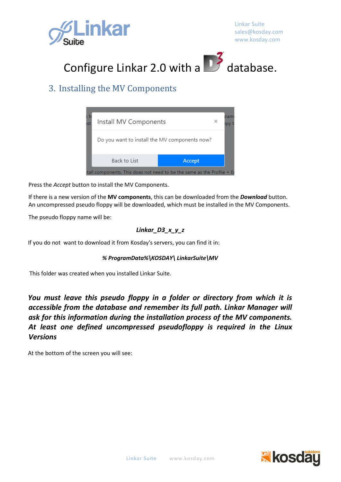



### 3. Installing the MV Components



Press the *Accept* button to install the MV Components.

If there is a new version of the **MV components**, this can be downloaded from the *Download* button. An uncompressed pseudo floppy will be downloaded, which must be installed in the MV Components.

The pseudo floppy name will be:

#### *Linkar\_D3\_x\_y\_z*

If you do not want to download it from Kosday's servers, you can find it in:

#### *% ProgramData%\KOSDAY\ LinkarSuite\MV*

This folder was created when you installed Linkar Suite.

*You must leave this pseudo floppy in a folder or directory from which it is accessible from the database and remember its full path. Linkar Manager will ask for this information during the installation process of the MV components. At least one defined uncompressed pseudofloppy is required in the Linux Versions*

At the bottom of the screen you will see:

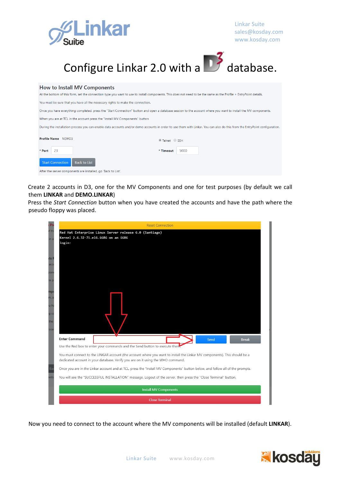



#### How to Install MV Components

At the bottom of this form, set the connection type you want to use to install components. This does not need to be the same as the Profile + EntryPoint details. You must be sure that you have all the necessary rights to make the connection. Once you have everything completed, press the "Start Connection" button and open a database session to the account where you want to install the MV components. When you are at TCL in the account press the "Install MV Components" button During the installation process you can enable data accounts and/or demo accounts in order to use them with Linkar. You can also do this from the EntryPoint configuration. **Profile Name** NEWD3 ⊕ Telnet © SSH \* Port  $-23$ \* Timeout 5000 Start Connection Back to List After the server components are installed, go 'Back to List'.

Create 2 accounts in D3, one for the MV Components and one for test purposes (by default we call them **LINKAR** and **DEMO.LINKAR**)

Press the *Start Connection* button when you have created the accounts and have the path where the pseudo floppy was placed.

| Ps                   | <b>Reset Connection</b>                                                                                                                                                                                      |
|----------------------|--------------------------------------------------------------------------------------------------------------------------------------------------------------------------------------------------------------|
| of the<br>in a       | Red Hat Enterprise Linux Server release 6.0 (Santiago)<br>Kernel 2.6.32-71.el6.i686 on an i686                                                                                                               |
|                      | login:                                                                                                                                                                                                       |
| its l                |                                                                                                                                                                                                              |
| асс<br>bon           |                                                                                                                                                                                                              |
| le p                 |                                                                                                                                                                                                              |
| mp.<br>m, s          |                                                                                                                                                                                                              |
| iu hi<br>g co<br>the |                                                                                                                                                                                                              |
| oce                  | <b>Enter Command</b><br>Send<br><b>Break</b>                                                                                                                                                                 |
|                      | Use the Red box to enter your commands and the Send button to execute then.                                                                                                                                  |
|                      | You must connect to the LINKAR account (the account where you want to install the Linkar MV components). This should be a<br>dedicated account in your database. Verify you are on it using the WHO command. |
| Ba                   | Once you are in the Linkar account and at TCL, press the "Install MV Components" button below, and follow all of the prompts.                                                                                |
| ents                 | You will see the "SUCCESSFUL INSTALLATION" message. Logout of the server, then press the "Close Terminal" button.                                                                                            |
|                      | <b>Install MV Components</b>                                                                                                                                                                                 |
|                      | <b>Close Terminal</b>                                                                                                                                                                                        |
|                      |                                                                                                                                                                                                              |

Now you need to connect to the account where the MV components will be installed (default **LINKAR**).

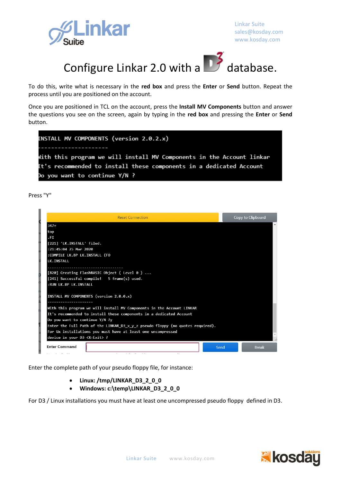



To do this, write what is necessary in the **red box** and press the **Enter** or **Send** button. Repeat the process until you are positioned on the account.

Once you are positioned in TCL on the account, press the **Install MV Components** button and answer the questions you see on the screen, again by typing in the **red box** and pressing the **Enter** or **Send** button.

| INSTALL MV COMPONENTS (version 2.0.2.x)                               |  |  |  |  |  |
|-----------------------------------------------------------------------|--|--|--|--|--|
|                                                                       |  |  |  |  |  |
| with this program we will install MV Components in the Account linkar |  |  |  |  |  |
| It's recommended to install these components in a dedicated Account   |  |  |  |  |  |
| Do you want to continue Y/N ?                                         |  |  |  |  |  |

Press "Y"

| <b>Reset Connection</b>                                                               |      | Copy to Clipboard |
|---------------------------------------------------------------------------------------|------|-------------------|
| $347+$                                                                                |      |                   |
| top                                                                                   |      |                   |
| .FI                                                                                   |      |                   |
| [221] 'LK.INSTALL' filed.                                                             |      |                   |
| $: 21:45:04$ 25 Mar 2020                                                              |      |                   |
| :COMPILE LK.BP LK.INSTALL (FO                                                         |      |                   |
| LK. INSTALL                                                                           |      |                   |
|                                                                                       |      |                   |
| [820] Creating FlashBASIC Object ( Level 0 )                                          |      |                   |
| [241] Successful compile! 5 frame(s) used.                                            |      |                   |
| :RUN LK.BP LK.INSTALL                                                                 |      |                   |
| INSTALL MV COMPONENTS (version 2.0.0.x)                                               |      |                   |
| With this program we will install MV Components in the Account LINKAR                 |      |                   |
| It's recommended to install these components in a dedicated Account                   |      |                   |
| Do you want to continue Y/N ?y                                                        |      |                   |
| Enter the Full Path of the LINKAR $D3 \times y$ z pseudo floppy (no quotes required). |      |                   |
| For Ux installations you must have at least one uncompressed                          |      |                   |
| device in your D3 <x=exit> ?</x=exit>                                                 |      |                   |
| <b>Enter Command</b>                                                                  | Send | <b>Break</b>      |
| .                                                                                     |      |                   |

Enter the complete path of your pseudo floppy file, for instance:

- **Linux: /tmp/LINKAR\_D3\_2\_0\_0**
- **Windows: c:\temp\LINKAR\_D3\_2\_0\_0**

For D3 / Linux installations you must have at least one uncompressed pseudo floppy defined in D3.

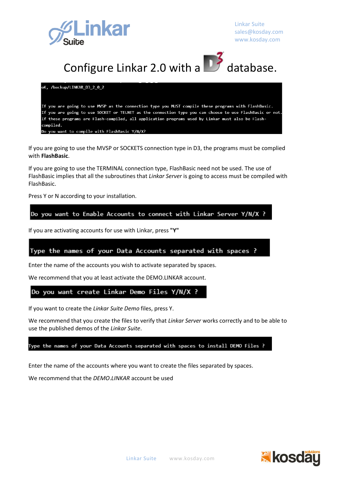



oK, /backup/LINKAR D3 2 0 2

If you are going to use MVSP as the connection type you MUST compile these programs with FlashBasic. If you are going to use SOCKET or TELNET as the connection type you can choose to use FlashBasic or not. If these programs are Flash-compiled, all application programs used by Linkar must also be Flashcompiled.

you want to compile with FlashBasic Y/N/X?

If you are going to use the MVSP or SOCKETS connection type in D3, the programs must be complied with **FlashBasic**.

If you are going to use the TERMINAL connection type, FlashBasic need not be used. The use of FlashBasic implies that all the subroutines that *Linkar Server* is going to access must be compiled with FlashBasic.

Press Y or N according to your installation.

Do you want to Enable Accounts to connect with Linkar Server Y/N/X ?

If you are activating accounts for use with Linkar, press **"Y"**

Type the names of your Data Accounts separated with spaces ?

Enter the name of the accounts you wish to activate separated by spaces.

We recommend that you at least activate the DEMO.LINKAR account.

Do you want create Linkar Demo Files Y/N/X ?

If you want to create the *Linkar Suite Demo* files, press Y.

We recommend that you create the files to verify that *Linkar Server* works correctly and to be able to use the published demos of the *Linkar Suite*.

Type the names of your Data Accounts separated with spaces to install DEMO Files ?

Enter the name of the accounts where you want to create the files separated by spaces.

We recommend that the *DEMO*.*LINKAR* account be used

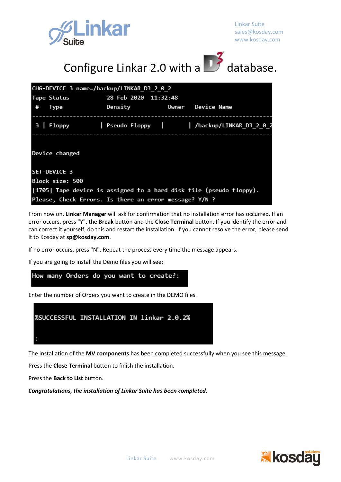



| CHG-DEVICE 3 name=/backup/LINKAR D3 2 0 2                           |                               |  |                                                            |  |  |  |
|---------------------------------------------------------------------|-------------------------------|--|------------------------------------------------------------|--|--|--|
| Tape Status 28 Feb 2020 11:32:48                                    |                               |  |                                                            |  |  |  |
| # Type                                                              | Density     Owner Device Name |  |                                                            |  |  |  |
|                                                                     |                               |  | 3   Floppy   Pseudo Floppy         /backup/LINKAR_D3_2_0_2 |  |  |  |
| Device changed                                                      |                               |  |                                                            |  |  |  |
| <b>ISET-DEVICE 3</b>                                                |                               |  |                                                            |  |  |  |
| Block size: 500                                                     |                               |  |                                                            |  |  |  |
| [1705] Tape device is assigned to a hard disk file (pseudo floppy). |                               |  |                                                            |  |  |  |
| Please, Check Errors. Is there an error message? Y/N ?              |                               |  |                                                            |  |  |  |

From now on, **Linkar Manager** will ask for confirmation that no installation error has occurred. If an error occurs, press "Y", the **Break** button and the **Close Terminal** button. If you identify the error and can correct it yourself, do this and restart the installation. If you cannot resolve the error, please send it to Kosday at **sp@kosday.com**.

If no error occurs, press "N". Repeat the process every time the message appears.

If you are going to install the Demo files you will see:

How many Orders do you want to create?:

Enter the number of Orders you want to create in the DEMO files.



The installation of the **MV components** has been completed successfully when you see this message.

Press the **Close Terminal** button to finish the installation.

Press the **Back to List** button.

*Congratulations, the installation of Linkar Suite has been completed.*